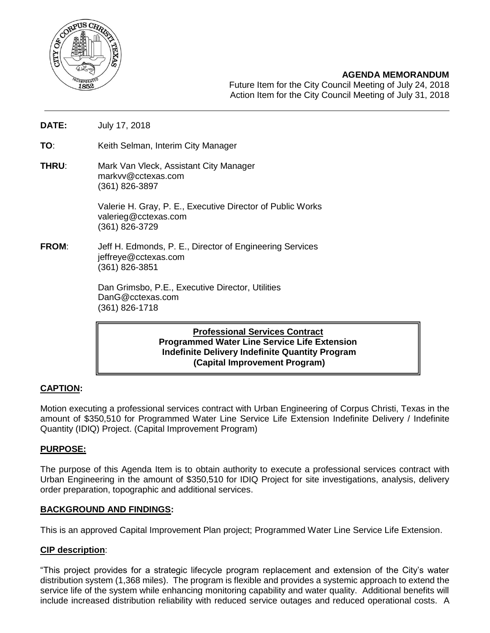

## **AGENDA MEMORANDUM**

Future Item for the City Council Meeting of July 24, 2018 Action Item for the City Council Meeting of July 31, 2018

**DATE:** July 17, 2018

**TO**: Keith Selman, Interim City Manager

**THRU**: Mark Van Vleck, Assistant City Manager [markvv@cctexas.com](mailto:markvv@cctexas.com) (361) 826-3897

> Valerie H. Gray, P. E., Executive Director of Public Works [valerieg@cctexas.com](mailto:valerieg@cctexas.com) (361) 826-3729

**FROM**: Jeff H. Edmonds, P. E., Director of Engineering Services [jeffreye@cctexas.com](mailto:jeffreye@cctexas.com) (361) 826-3851

> Dan Grimsbo, P.E., Executive Director, Utilities DanG@cctexas.com (361) 826-1718

> > **Professional Services Contract Programmed Water Line Service Life Extension Indefinite Delivery Indefinite Quantity Program (Capital Improvement Program)**

# **CAPTION:**

Motion executing a professional services contract with Urban Engineering of Corpus Christi, Texas in the amount of \$350,510 for Programmed Water Line Service Life Extension Indefinite Delivery / Indefinite Quantity (IDIQ) Project. (Capital Improvement Program)

### **PURPOSE:**

The purpose of this Agenda Item is to obtain authority to execute a professional services contract with Urban Engineering in the amount of \$350,510 for IDIQ Project for site investigations, analysis, delivery order preparation, topographic and additional services.

### **BACKGROUND AND FINDINGS:**

This is an approved Capital Improvement Plan project; Programmed Water Line Service Life Extension.

### **CIP description**:

"This project provides for a strategic lifecycle program replacement and extension of the City's water distribution system (1,368 miles). The program is flexible and provides a systemic approach to extend the service life of the system while enhancing monitoring capability and water quality. Additional benefits will include increased distribution reliability with reduced service outages and reduced operational costs. A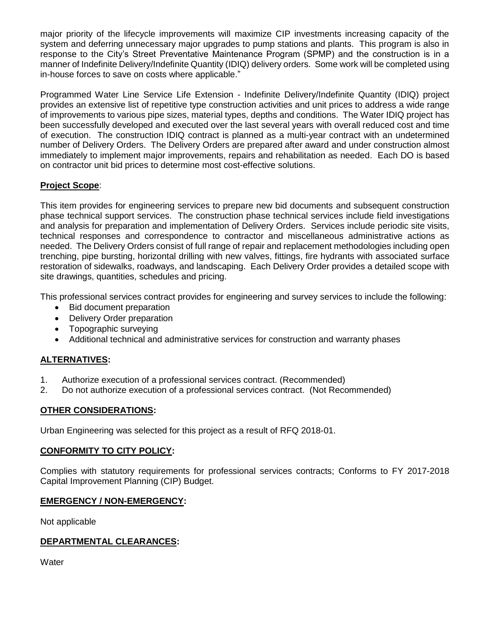major priority of the lifecycle improvements will maximize CIP investments increasing capacity of the system and deferring unnecessary major upgrades to pump stations and plants. This program is also in response to the City's Street Preventative Maintenance Program (SPMP) and the construction is in a manner of Indefinite Delivery/Indefinite Quantity (IDIQ) delivery orders. Some work will be completed using in-house forces to save on costs where applicable."

Programmed Water Line Service Life Extension - Indefinite Delivery/Indefinite Quantity (IDIQ) project provides an extensive list of repetitive type construction activities and unit prices to address a wide range of improvements to various pipe sizes, material types, depths and conditions. The Water IDIQ project has been successfully developed and executed over the last several years with overall reduced cost and time of execution. The construction IDIQ contract is planned as a multi-year contract with an undetermined number of Delivery Orders. The Delivery Orders are prepared after award and under construction almost immediately to implement major improvements, repairs and rehabilitation as needed. Each DO is based on contractor unit bid prices to determine most cost-effective solutions.

# **Project Scope**:

This item provides for engineering services to prepare new bid documents and subsequent construction phase technical support services. The construction phase technical services include field investigations and analysis for preparation and implementation of Delivery Orders. Services include periodic site visits, technical responses and correspondence to contractor and miscellaneous administrative actions as needed. The Delivery Orders consist of full range of repair and replacement methodologies including open trenching, pipe bursting, horizontal drilling with new valves, fittings, fire hydrants with associated surface restoration of sidewalks, roadways, and landscaping. Each Delivery Order provides a detailed scope with site drawings, quantities, schedules and pricing.

This professional services contract provides for engineering and survey services to include the following:

- Bid document preparation
- Delivery Order preparation
- Topographic surveying
- Additional technical and administrative services for construction and warranty phases

# **ALTERNATIVES:**

- 1. Authorize execution of a professional services contract. (Recommended)
- 2. Do not authorize execution of a professional services contract. (Not Recommended)

# **OTHER CONSIDERATIONS:**

Urban Engineering was selected for this project as a result of RFQ 2018-01.

### **CONFORMITY TO CITY POLICY:**

Complies with statutory requirements for professional services contracts; Conforms to FY 2017-2018 Capital Improvement Planning (CIP) Budget.

# **EMERGENCY / NON-EMERGENCY:**

Not applicable

### **DEPARTMENTAL CLEARANCES:**

**Water**